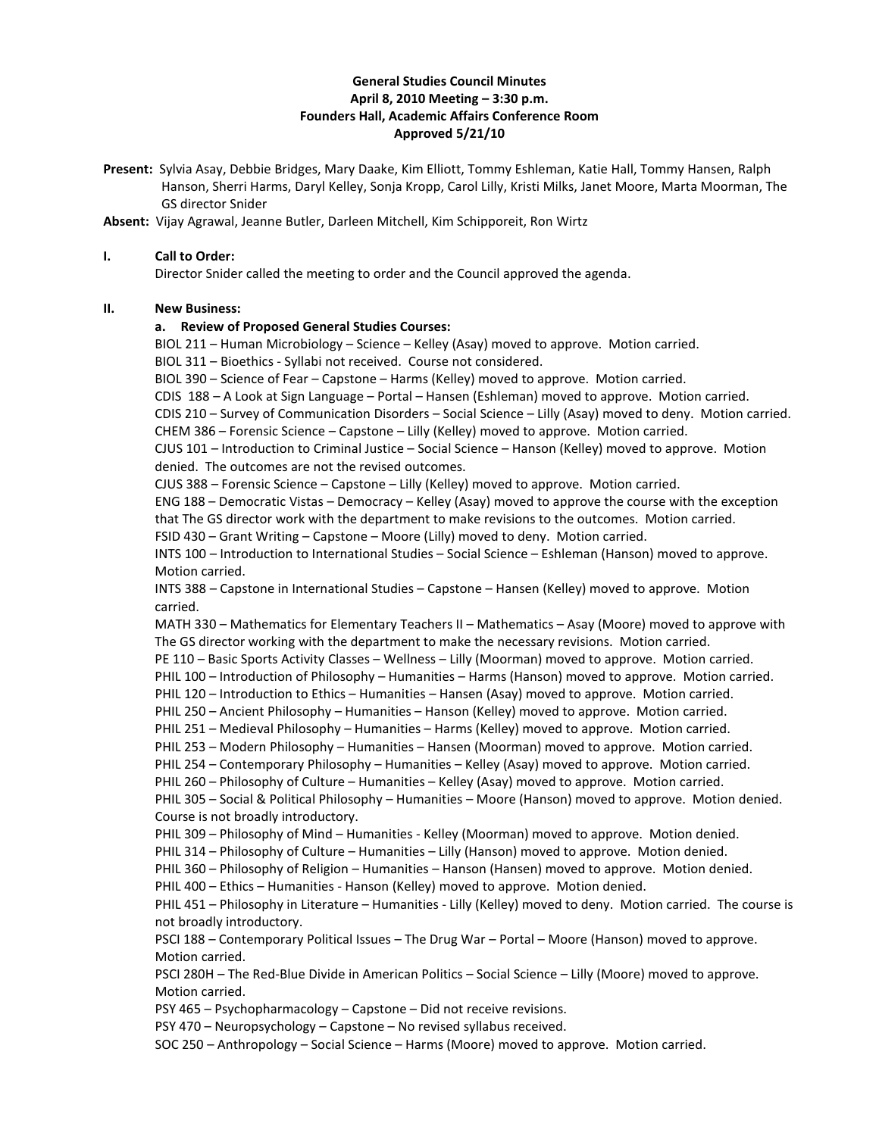## **General Studies Council Minutes April 8, 2010 Meeting – 3:30 p.m. Founders Hall, Academic Affairs Conference Room Approved 5/21/10**

**Present:** Sylvia Asay, Debbie Bridges, Mary Daake, Kim Elliott, Tommy Eshleman, Katie Hall, Tommy Hansen, Ralph Hanson, Sherri Harms, Daryl Kelley, Sonja Kropp, Carol Lilly, Kristi Milks, Janet Moore, Marta Moorman, The GS director Snider

**Absent:** Vijay Agrawal, Jeanne Butler, Darleen Mitchell, Kim Schipporeit, Ron Wirtz

### **I. Call to Order:**

Director Snider called the meeting to order and the Council approved the agenda.

## **II. New Business:**

### **a. Review of Proposed General Studies Courses:**

BIOL 211 – Human Microbiology – Science – Kelley (Asay) moved to approve. Motion carried. BIOL 311 – Bioethics - Syllabi not received. Course not considered.

BIOL 390 – Science of Fear – Capstone – Harms (Kelley) moved to approve. Motion carried.

CDIS 188 – A Look at Sign Language – Portal – Hansen (Eshleman) moved to approve. Motion carried. CDIS 210 – Survey of Communication Disorders – Social Science – Lilly (Asay) moved to deny. Motion carried.

CHEM 386 – Forensic Science – Capstone – Lilly (Kelley) moved to approve. Motion carried.

CJUS 101 – Introduction to Criminal Justice – Social Science – Hanson (Kelley) moved to approve. Motion denied. The outcomes are not the revised outcomes.

CJUS 388 – Forensic Science – Capstone – Lilly (Kelley) moved to approve. Motion carried.

ENG 188 – Democratic Vistas – Democracy – Kelley (Asay) moved to approve the course with the exception that The GS director work with the department to make revisions to the outcomes. Motion carried.

FSID 430 – Grant Writing – Capstone – Moore (Lilly) moved to deny. Motion carried.

INTS 100 – Introduction to International Studies – Social Science – Eshleman (Hanson) moved to approve. Motion carried.

INTS 388 – Capstone in International Studies – Capstone – Hansen (Kelley) moved to approve. Motion carried.

MATH 330 – Mathematics for Elementary Teachers II – Mathematics – Asay (Moore) moved to approve with The GS director working with the department to make the necessary revisions. Motion carried.

PE 110 – Basic Sports Activity Classes – Wellness – Lilly (Moorman) moved to approve. Motion carried.

PHIL 100 – Introduction of Philosophy – Humanities – Harms (Hanson) moved to approve. Motion carried.

PHIL 120 – Introduction to Ethics – Humanities – Hansen (Asay) moved to approve. Motion carried.

PHIL 250 – Ancient Philosophy – Humanities – Hanson (Kelley) moved to approve. Motion carried.

PHIL 251 – Medieval Philosophy – Humanities – Harms (Kelley) moved to approve. Motion carried.

PHIL 253 – Modern Philosophy – Humanities – Hansen (Moorman) moved to approve. Motion carried.

PHIL 254 – Contemporary Philosophy – Humanities – Kelley (Asay) moved to approve. Motion carried.

PHIL 260 – Philosophy of Culture – Humanities – Kelley (Asay) moved to approve. Motion carried.

PHIL 305 – Social & Political Philosophy – Humanities – Moore (Hanson) moved to approve. Motion denied. Course is not broadly introductory.

PHIL 309 – Philosophy of Mind – Humanities - Kelley (Moorman) moved to approve. Motion denied.

PHIL 314 – Philosophy of Culture – Humanities – Lilly (Hanson) moved to approve. Motion denied.

PHIL 360 – Philosophy of Religion – Humanities – Hanson (Hansen) moved to approve. Motion denied.

PHIL 400 – Ethics – Humanities - Hanson (Kelley) moved to approve. Motion denied.

PHIL 451 – Philosophy in Literature – Humanities - Lilly (Kelley) moved to deny. Motion carried. The course is not broadly introductory.

PSCI 188 – Contemporary Political Issues – The Drug War – Portal – Moore (Hanson) moved to approve. Motion carried.

PSCI 280H – The Red-Blue Divide in American Politics – Social Science – Lilly (Moore) moved to approve. Motion carried.

PSY 465 – Psychopharmacology – Capstone – Did not receive revisions.

PSY 470 – Neuropsychology – Capstone – No revised syllabus received.

SOC 250 – Anthropology – Social Science – Harms (Moore) moved to approve. Motion carried.